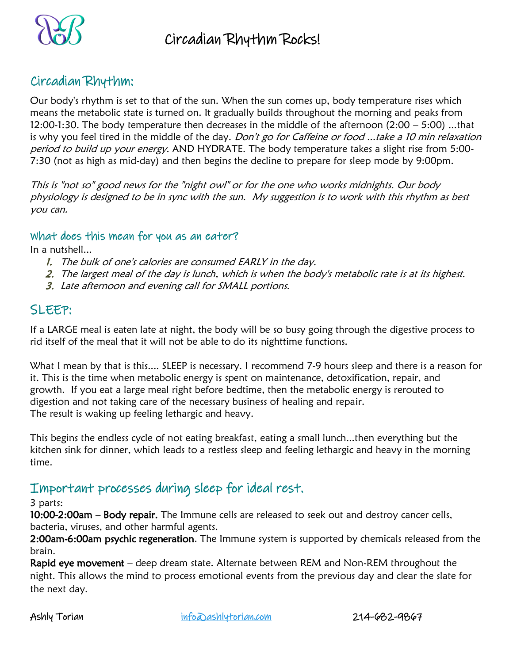

### Circadian Rhythm:

Our body's rhythm is set to that of the sun. When the sun comes up, body temperature rises which means the metabolic state is turned on. It gradually builds throughout the morning and peaks from 12:00-1:30. The body temperature then decreases in the middle of the afternoon (2:00 – 5:00) ...that is why you feel tired in the middle of the day. *Don't go for Caffeine or food ...take a 10 min relaxation* period to build up your energy. AND HYDRATE. The body temperature takes a slight rise from 5:00-7:30 (not as high as mid-day) and then begins the decline to prepare for sleep mode by 9:00pm.

This is "not so" good news for the "night owl" or for the one who works midnights. Our body physiology is designed to be in sync with the sun. My suggestion is to work with this rhythm as best you can.

### What does this mean for you as an eater?

In a nutshell...

- 1. The bulk of one's calories are consumed EARLY in the day.
- 2. The largest meal of the day is lunch, which is when the body's metabolic rate is at its highest.
- 3. Late afternoon and evening call for SMALL portions.

### SLEEP:

If a LARGE meal is eaten late at night, the body will be so busy going through the digestive process to rid itself of the meal that it will not be able to do its nighttime functions.

What I mean by that is this.... SLEEP is necessary. I recommend 7-9 hours sleep and there is a reason for it. This is the time when metabolic energy is spent on maintenance, detoxification, repair, and growth. If you eat a large meal right before bedtime, then the metabolic energy is rerouted to digestion and not taking care of the necessary business of healing and repair. The result is waking up feeling lethargic and heavy.

This begins the endless cycle of not eating breakfast, eating a small lunch...then everything but the kitchen sink for dinner, which leads to a restless sleep and feeling lethargic and heavy in the morning time.

### Important processes during sleep for ideal rest.

3 parts:

10:00-2:00am – Body repair. The Immune cells are released to seek out and destroy cancer cells, bacteria, viruses, and other harmful agents.

2:00am-6:00am psychic regeneration. The Immune system is supported by chemicals released from the brain.

Rapid eye movement – deep dream state. Alternate between REM and Non-REM throughout the night. This allows the mind to process emotional events from the previous day and clear the slate for the next day.